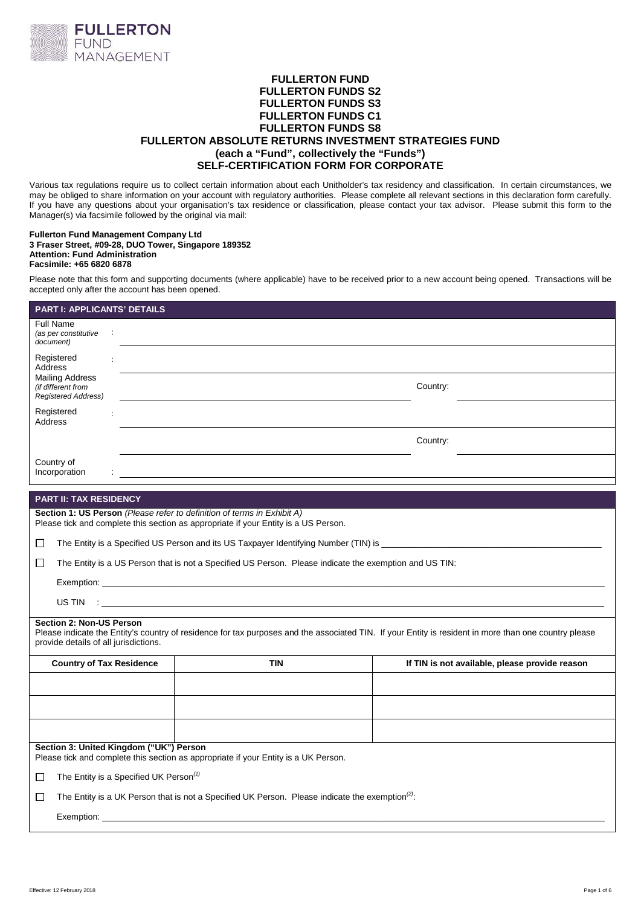

# **FULLERTON FUND FULLERTON FUNDS S2 FULLERTON FUNDS S3 FULLERTON FUNDS C1 FULLERTON FUNDS S8 FULLERTON ABSOLUTE RETURNS INVESTMENT STRATEGIES FUND (each a "Fund", collectively the "Funds") SELF-CERTIFICATION FORM FOR CORPORATE**

Various tax regulations require us to collect certain information about each Unitholder's tax residency and classification. In certain circumstances, we may be obliged to share information on your account with regulatory authorities. Please complete all relevant sections in this declaration form carefully. If you have any questions about your organisation's tax residence or classification, please contact your tax advisor. Please submit this form to the Manager(s) via facsimile followed by the original via mail:

### **Fullerton Fund Management Company Ltd 3 Fraser Street, #09-28, DUO Tower, Singapore 189352 Attention: Fund Administration Facsimile: +65 6820 6878**

Please note that this form and supporting documents (where applicable) have to be received prior to a new account being opened. Transactions will be accepted only after the account has been opened.

| <b>PART I: APPLICANTS' DETAILS</b>                                                                                             |                                                                                                                                                                                                                            |                                                                                                                                                                |                                                |  |  |  |  |  |  |  |  |
|--------------------------------------------------------------------------------------------------------------------------------|----------------------------------------------------------------------------------------------------------------------------------------------------------------------------------------------------------------------------|----------------------------------------------------------------------------------------------------------------------------------------------------------------|------------------------------------------------|--|--|--|--|--|--|--|--|
| <b>Full Name</b><br>(as per constitutive<br>document)                                                                          | ÷                                                                                                                                                                                                                          |                                                                                                                                                                |                                                |  |  |  |  |  |  |  |  |
| Registered<br>$\ddot{\phantom{a}}$<br>Address                                                                                  |                                                                                                                                                                                                                            |                                                                                                                                                                |                                                |  |  |  |  |  |  |  |  |
| <b>Mailing Address</b><br>(if different from<br><b>Registered Address)</b>                                                     | Country:                                                                                                                                                                                                                   |                                                                                                                                                                |                                                |  |  |  |  |  |  |  |  |
| Registered<br><b>Address</b>                                                                                                   |                                                                                                                                                                                                                            |                                                                                                                                                                |                                                |  |  |  |  |  |  |  |  |
|                                                                                                                                |                                                                                                                                                                                                                            |                                                                                                                                                                | Country:                                       |  |  |  |  |  |  |  |  |
| Country of<br>Incorporation                                                                                                    |                                                                                                                                                                                                                            |                                                                                                                                                                |                                                |  |  |  |  |  |  |  |  |
| <b>PART II: TAX RESIDENCY</b>                                                                                                  |                                                                                                                                                                                                                            |                                                                                                                                                                |                                                |  |  |  |  |  |  |  |  |
|                                                                                                                                |                                                                                                                                                                                                                            | Section 1: US Person (Please refer to definition of terms in Exhibit A)<br>Please tick and complete this section as appropriate if your Entity is a US Person. |                                                |  |  |  |  |  |  |  |  |
| □                                                                                                                              |                                                                                                                                                                                                                            | The Entity is a Specified US Person and its US Taxpayer Identifying Number (TIN) is __________________________                                                 |                                                |  |  |  |  |  |  |  |  |
| □                                                                                                                              |                                                                                                                                                                                                                            | The Entity is a US Person that is not a Specified US Person. Please indicate the exemption and US TIN:                                                         |                                                |  |  |  |  |  |  |  |  |
|                                                                                                                                |                                                                                                                                                                                                                            |                                                                                                                                                                |                                                |  |  |  |  |  |  |  |  |
|                                                                                                                                |                                                                                                                                                                                                                            |                                                                                                                                                                |                                                |  |  |  |  |  |  |  |  |
|                                                                                                                                | Section 2: Non-US Person<br>Please indicate the Entity's country of residence for tax purposes and the associated TIN. If your Entity is resident in more than one country please<br>provide details of all jurisdictions. |                                                                                                                                                                |                                                |  |  |  |  |  |  |  |  |
| <b>Country of Tax Residence</b>                                                                                                |                                                                                                                                                                                                                            | <b>TIN</b>                                                                                                                                                     | If TIN is not available, please provide reason |  |  |  |  |  |  |  |  |
|                                                                                                                                |                                                                                                                                                                                                                            |                                                                                                                                                                |                                                |  |  |  |  |  |  |  |  |
|                                                                                                                                |                                                                                                                                                                                                                            |                                                                                                                                                                |                                                |  |  |  |  |  |  |  |  |
|                                                                                                                                |                                                                                                                                                                                                                            |                                                                                                                                                                |                                                |  |  |  |  |  |  |  |  |
| Section 3: United Kingdom ("UK") Person<br>Please tick and complete this section as appropriate if your Entity is a UK Person. |                                                                                                                                                                                                                            |                                                                                                                                                                |                                                |  |  |  |  |  |  |  |  |
| $\Box$                                                                                                                         | The Entity is a Specified UK Person <sup>(1)</sup>                                                                                                                                                                         |                                                                                                                                                                |                                                |  |  |  |  |  |  |  |  |
| $\Box$                                                                                                                         | The Entity is a UK Person that is not a Specified UK Person. Please indicate the exemption $e^{2}$ .                                                                                                                       |                                                                                                                                                                |                                                |  |  |  |  |  |  |  |  |
| Exemption: _____________                                                                                                       |                                                                                                                                                                                                                            |                                                                                                                                                                |                                                |  |  |  |  |  |  |  |  |
|                                                                                                                                |                                                                                                                                                                                                                            |                                                                                                                                                                |                                                |  |  |  |  |  |  |  |  |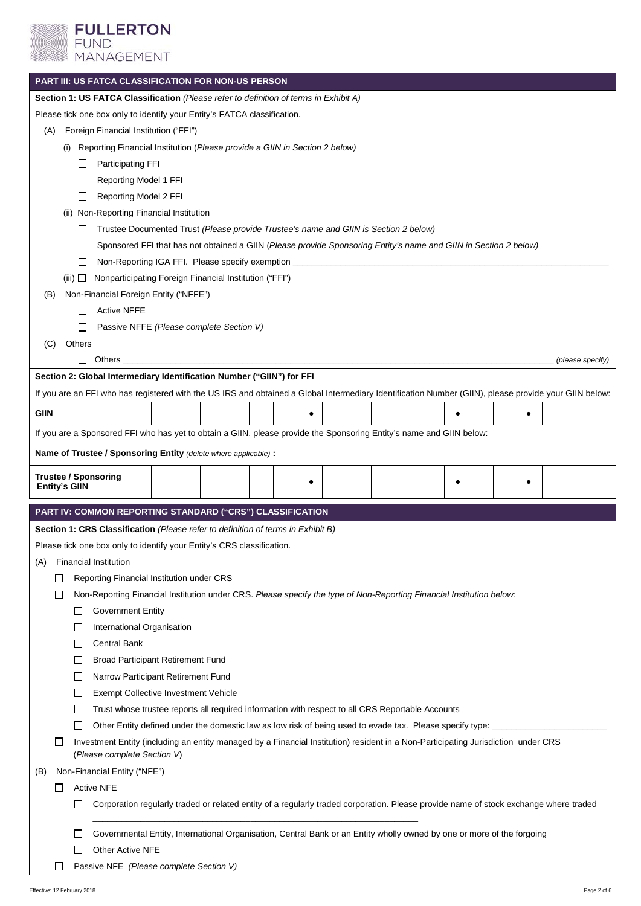

|                                                                                                                                                                                                                                | SIM PIANAULIYILIN I                                                                                                    |  |  |  |  |  |  |           |  |  |  |  |  |  |           |                  |  |
|--------------------------------------------------------------------------------------------------------------------------------------------------------------------------------------------------------------------------------|------------------------------------------------------------------------------------------------------------------------|--|--|--|--|--|--|-----------|--|--|--|--|--|--|-----------|------------------|--|
|                                                                                                                                                                                                                                | PART III: US FATCA CLASSIFICATION FOR NON-US PERSON                                                                    |  |  |  |  |  |  |           |  |  |  |  |  |  |           |                  |  |
|                                                                                                                                                                                                                                | Section 1: US FATCA Classification (Please refer to definition of terms in Exhibit A)                                  |  |  |  |  |  |  |           |  |  |  |  |  |  |           |                  |  |
|                                                                                                                                                                                                                                | Please tick one box only to identify your Entity's FATCA classification.                                               |  |  |  |  |  |  |           |  |  |  |  |  |  |           |                  |  |
| (A)                                                                                                                                                                                                                            | Foreign Financial Institution ("FFI")                                                                                  |  |  |  |  |  |  |           |  |  |  |  |  |  |           |                  |  |
| (i)                                                                                                                                                                                                                            | Reporting Financial Institution (Please provide a GIIN in Section 2 below)                                             |  |  |  |  |  |  |           |  |  |  |  |  |  |           |                  |  |
|                                                                                                                                                                                                                                | Participating FFI                                                                                                      |  |  |  |  |  |  |           |  |  |  |  |  |  |           |                  |  |
|                                                                                                                                                                                                                                | Reporting Model 1 FFI                                                                                                  |  |  |  |  |  |  |           |  |  |  |  |  |  |           |                  |  |
| Reporting Model 2 FFI                                                                                                                                                                                                          |                                                                                                                        |  |  |  |  |  |  |           |  |  |  |  |  |  |           |                  |  |
| (ii) Non-Reporting Financial Institution                                                                                                                                                                                       |                                                                                                                        |  |  |  |  |  |  |           |  |  |  |  |  |  |           |                  |  |
|                                                                                                                                                                                                                                | Trustee Documented Trust (Please provide Trustee's name and GIIN is Section 2 below)                                   |  |  |  |  |  |  |           |  |  |  |  |  |  |           |                  |  |
|                                                                                                                                                                                                                                | Sponsored FFI that has not obtained a GIIN (Please provide Sponsoring Entity's name and GIIN in Section 2 below)       |  |  |  |  |  |  |           |  |  |  |  |  |  |           |                  |  |
|                                                                                                                                                                                                                                | Non-Reporting IGA FFI. Please specify exemption _____________                                                          |  |  |  |  |  |  |           |  |  |  |  |  |  |           |                  |  |
| (iii) $\Box$                                                                                                                                                                                                                   | Nonparticipating Foreign Financial Institution ("FFI")                                                                 |  |  |  |  |  |  |           |  |  |  |  |  |  |           |                  |  |
| (B)                                                                                                                                                                                                                            | Non-Financial Foreign Entity ("NFFE")                                                                                  |  |  |  |  |  |  |           |  |  |  |  |  |  |           |                  |  |
|                                                                                                                                                                                                                                | <b>Active NFFE</b>                                                                                                     |  |  |  |  |  |  |           |  |  |  |  |  |  |           |                  |  |
| ப                                                                                                                                                                                                                              | Passive NFFE (Please complete Section V)                                                                               |  |  |  |  |  |  |           |  |  |  |  |  |  |           |                  |  |
| Others<br>(C)                                                                                                                                                                                                                  |                                                                                                                        |  |  |  |  |  |  |           |  |  |  |  |  |  |           |                  |  |
| $\mathsf{L}$                                                                                                                                                                                                                   | Others                                                                                                                 |  |  |  |  |  |  |           |  |  |  |  |  |  |           | (please specify) |  |
|                                                                                                                                                                                                                                |                                                                                                                        |  |  |  |  |  |  |           |  |  |  |  |  |  |           |                  |  |
| Section 2: Global Intermediary Identification Number ("GIIN") for FFI<br>If you are an FFI who has registered with the US IRS and obtained a Global Intermediary Identification Number (GIIN), please provide your GIIN below: |                                                                                                                        |  |  |  |  |  |  |           |  |  |  |  |  |  |           |                  |  |
|                                                                                                                                                                                                                                |                                                                                                                        |  |  |  |  |  |  |           |  |  |  |  |  |  |           |                  |  |
| <b>GIIN</b>                                                                                                                                                                                                                    |                                                                                                                        |  |  |  |  |  |  |           |  |  |  |  |  |  |           |                  |  |
|                                                                                                                                                                                                                                | If you are a Sponsored FFI who has yet to obtain a GIIN, please provide the Sponsoring Entity's name and GIIN below:   |  |  |  |  |  |  |           |  |  |  |  |  |  |           |                  |  |
|                                                                                                                                                                                                                                | Name of Trustee / Sponsoring Entity (delete where applicable) :                                                        |  |  |  |  |  |  |           |  |  |  |  |  |  |           |                  |  |
| <b>Trustee / Sponsoring</b><br><b>Entity's GIIN</b>                                                                                                                                                                            |                                                                                                                        |  |  |  |  |  |  | $\bullet$ |  |  |  |  |  |  | $\bullet$ |                  |  |
|                                                                                                                                                                                                                                |                                                                                                                        |  |  |  |  |  |  |           |  |  |  |  |  |  |           |                  |  |
|                                                                                                                                                                                                                                | PART IV: COMMON REPORTING STANDARD ("CRS") CLASSIFICATION                                                              |  |  |  |  |  |  |           |  |  |  |  |  |  |           |                  |  |
|                                                                                                                                                                                                                                | Section 1: CRS Classification (Please refer to definition of terms in Exhibit B)                                       |  |  |  |  |  |  |           |  |  |  |  |  |  |           |                  |  |
|                                                                                                                                                                                                                                | Please tick one box only to identify your Entity's CRS classification.                                                 |  |  |  |  |  |  |           |  |  |  |  |  |  |           |                  |  |
| (A)                                                                                                                                                                                                                            | <b>Financial Institution</b>                                                                                           |  |  |  |  |  |  |           |  |  |  |  |  |  |           |                  |  |
| ⊔                                                                                                                                                                                                                              | Reporting Financial Institution under CRS                                                                              |  |  |  |  |  |  |           |  |  |  |  |  |  |           |                  |  |
| $\Box$                                                                                                                                                                                                                         | Non-Reporting Financial Institution under CRS. Please specify the type of Non-Reporting Financial Institution below:   |  |  |  |  |  |  |           |  |  |  |  |  |  |           |                  |  |
| ⊔                                                                                                                                                                                                                              | <b>Government Entity</b>                                                                                               |  |  |  |  |  |  |           |  |  |  |  |  |  |           |                  |  |
|                                                                                                                                                                                                                                | International Organisation                                                                                             |  |  |  |  |  |  |           |  |  |  |  |  |  |           |                  |  |
| $\mathsf{L}$                                                                                                                                                                                                                   | Central Bank                                                                                                           |  |  |  |  |  |  |           |  |  |  |  |  |  |           |                  |  |
| <b>Broad Participant Retirement Fund</b><br>L                                                                                                                                                                                  |                                                                                                                        |  |  |  |  |  |  |           |  |  |  |  |  |  |           |                  |  |
|                                                                                                                                                                                                                                | Narrow Participant Retirement Fund                                                                                     |  |  |  |  |  |  |           |  |  |  |  |  |  |           |                  |  |
| Exempt Collective Investment Vehicle                                                                                                                                                                                           |                                                                                                                        |  |  |  |  |  |  |           |  |  |  |  |  |  |           |                  |  |
| Trust whose trustee reports all required information with respect to all CRS Reportable Accounts                                                                                                                               |                                                                                                                        |  |  |  |  |  |  |           |  |  |  |  |  |  |           |                  |  |
| Other Entity defined under the domestic law as low risk of being used to evade tax. Please specify type: _____<br>$\Box$                                                                                                       |                                                                                                                        |  |  |  |  |  |  |           |  |  |  |  |  |  |           |                  |  |
| Investment Entity (including an entity managed by a Financial Institution) resident in a Non-Participating Jurisdiction under CRS<br>(Please complete Section V)                                                               |                                                                                                                        |  |  |  |  |  |  |           |  |  |  |  |  |  |           |                  |  |
| Non-Financial Entity ("NFE")<br>(B)                                                                                                                                                                                            |                                                                                                                        |  |  |  |  |  |  |           |  |  |  |  |  |  |           |                  |  |
| <b>Active NFE</b>                                                                                                                                                                                                              |                                                                                                                        |  |  |  |  |  |  |           |  |  |  |  |  |  |           |                  |  |
| Corporation regularly traded or related entity of a regularly traded corporation. Please provide name of stock exchange where traded<br>ΙI                                                                                     |                                                                                                                        |  |  |  |  |  |  |           |  |  |  |  |  |  |           |                  |  |
|                                                                                                                                                                                                                                | Governmental Entity, International Organisation, Central Bank or an Entity wholly owned by one or more of the forgoing |  |  |  |  |  |  |           |  |  |  |  |  |  |           |                  |  |
| $\mathsf{L}$                                                                                                                                                                                                                   | Other Active NFE                                                                                                       |  |  |  |  |  |  |           |  |  |  |  |  |  |           |                  |  |
| Passive NFE (Please complete Section V)                                                                                                                                                                                        |                                                                                                                        |  |  |  |  |  |  |           |  |  |  |  |  |  |           |                  |  |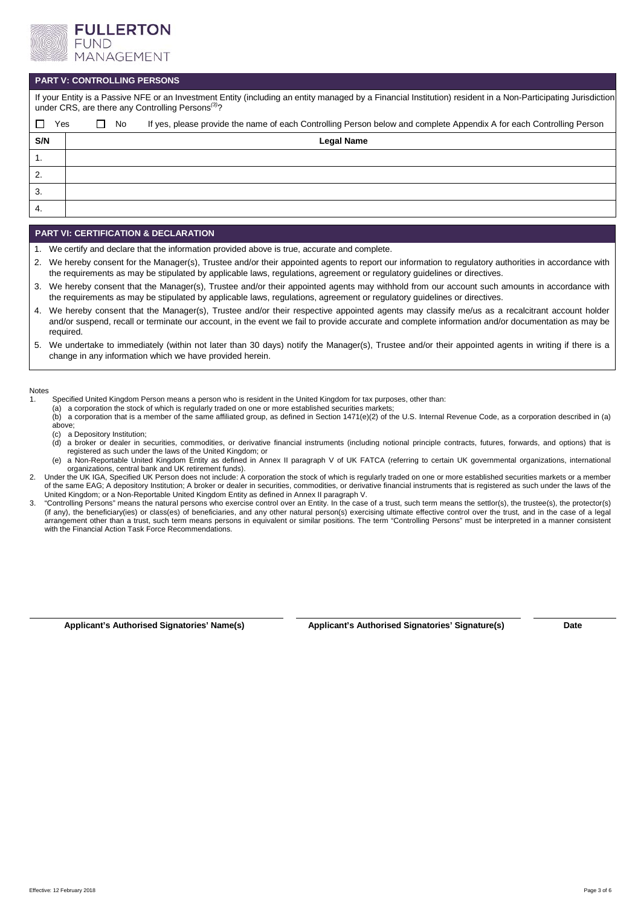| <b>FULLERTON</b> |
|------------------|
| FULL             |
| MANAGEMENT       |

# **PART V: CONTROLLING PERSONS**

| If your Entity is a Passive NFE or an Investment Entity (including an entity managed by a Financial Institution) resident in a Non-Participating Jurisdiction<br>under CRS, are there any Controlling Persons <sup>(3)</sup> ? |                                                                                                                            |  |  |  |  |  |  |
|--------------------------------------------------------------------------------------------------------------------------------------------------------------------------------------------------------------------------------|----------------------------------------------------------------------------------------------------------------------------|--|--|--|--|--|--|
| Yes                                                                                                                                                                                                                            | If yes, please provide the name of each Controlling Person below and complete Appendix A for each Controlling Person<br>No |  |  |  |  |  |  |
| S/N                                                                                                                                                                                                                            | Legal Name                                                                                                                 |  |  |  |  |  |  |
|                                                                                                                                                                                                                                |                                                                                                                            |  |  |  |  |  |  |
| 2.                                                                                                                                                                                                                             |                                                                                                                            |  |  |  |  |  |  |
| 3.                                                                                                                                                                                                                             |                                                                                                                            |  |  |  |  |  |  |
| 4.                                                                                                                                                                                                                             |                                                                                                                            |  |  |  |  |  |  |

# **PART VI: CERTIFICATION & DECLARATION**

- 1. We certify and declare that the information provided above is true, accurate and complete.
- 2. We hereby consent for the Manager(s), Trustee and/or their appointed agents to report our information to regulatory authorities in accordance with the requirements as may be stipulated by applicable laws, regulations, agreement or regulatory guidelines or directives.
- 3. We hereby consent that the Manager(s), Trustee and/or their appointed agents may withhold from our account such amounts in accordance with the requirements as may be stipulated by applicable laws, regulations, agreement or regulatory guidelines or directives.
- 4. We hereby consent that the Manager(s), Trustee and/or their respective appointed agents may classify me/us as a recalcitrant account holder and/or suspend, recall or terminate our account, in the event we fail to provide accurate and complete information and/or documentation as may be required.
- 5. We undertake to immediately (within not later than 30 days) notify the Manager(s), Trustee and/or their appointed agents in writing if there is a change in any information which we have provided herein.

Notes

- Specified United Kingdom Person means a person who is resident in the United Kingdom for tax purposes, other than:
- (a) a corporation the stock of which is regularly traded on one or more established securities markets;

(b) a corporation that is a member of the same affiliated group, as defined in Section 1471(e)(2) of the U.S. Internal Revenue Code, as a corporation described in (a) above;

- (c) a Depository Institution;
- (d) a broker or dealer in securities, commodities, or derivative financial instruments (including notional principle contracts, futures, forwards, and options) that is registered as such under the laws of the United Kingdom; or
- (e) a Non-Reportable United Kingdom Entity as defined in Annex II paragraph V of UK FATCA (referring to certain UK governmental organizations, international organizations, central bank and UK retirement funds).
- Under the UK IGA, Specified UK Person does not include: A corporation the stock of which is regularly traded on one or more established securities markets or a member of the same EAG; A depository Institution; A broker or dealer in securities, commodities, or derivative financial instruments that is registered as such under the laws of the United Kingdom; or a Non-Reportable United Kingdom Entity as defined in Annex II paragraph V.
- 3. "Controlling Persons" means the natural persons who exercise control over an Entity. In the case of a trust, such term means the settlor(s), the trustee(s), the protector(s) (if any), the beneficiary(ies) or class(es) of beneficiaries, and any other natural person(s) exercising ultimate effective control over the trust, and in the case of a legal arrangement other than a trust, such term means persons in equivalent or similar positions. The term "Controlling Persons" must be interpreted in a manner consistent with the Financial Action Task Force Recommendations.

**Applicant's Authorised Signatories' Name(s) Applicant's Authorised Signatories' Signature(s) Date**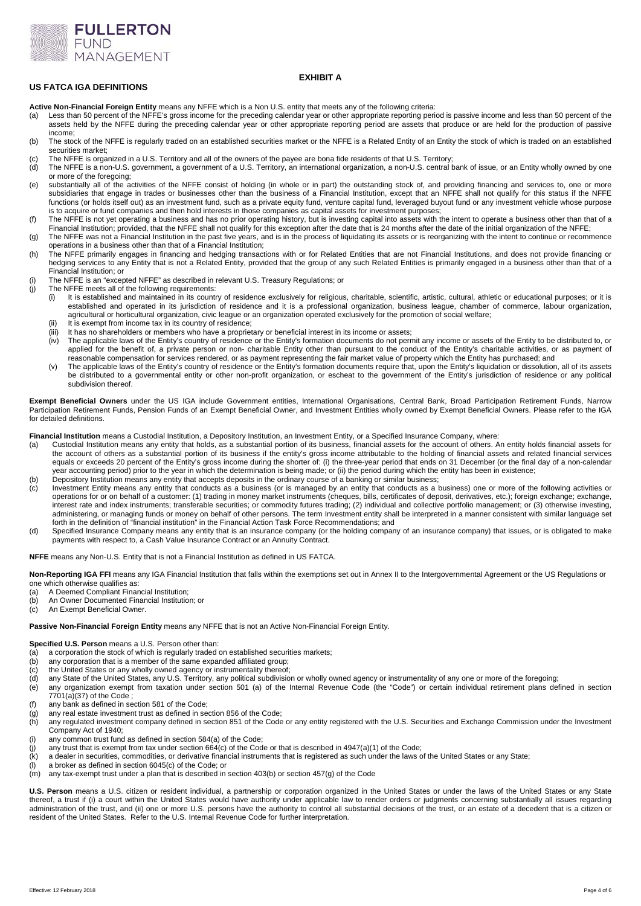

## **EXHIBIT A**

## **US FATCA IGA DEFINITIONS**

**Active Non-Financial Foreign Entity** means any NFFE which is a Non U.S. entity that meets any of the following criteria:

- (a) Less than 50 percent of the NFFE's gross income for the preceding calendar year or other appropriate reporting period is passive income and less than 50 percent of the assets held by the NFFE during the preceding calendar year or other appropriate reporting period are assets that produce or are held for the production of passive income;
- (b) The stock of the NFFE is regularly traded on an established securities market or the NFFE is a Related Entity of an Entity the stock of which is traded on an established securities market;
- (c) The NFFE is organized in a U.S. Territory and all of the owners of the payee are bona fide residents of that U.S. Territory;
- (d) The NFFE is a non-U.S. government, a government of a U.S. Territory, an international organization, a non-U.S. central bank of issue, or an Entity wholly owned by one or more of the foregoing;
- (e) substantially all of the activities of the NFFE consist of holding (in whole or in part) the outstanding stock of, and providing financing and services to, one or more subsidiaries that engage in trades or businesses other than the business of a Financial Institution, except that an NFFE shall not qualify for this status if the NFFE functions (or holds itself out) as an investment fund, such as a private equity fund, venture capital fund, leveraged buyout fund or any investment vehicle whose purpose is to acquire or fund companies and then hold interests in those companies as capital assets for investment purposes;
- (f) The NFFE is not yet operating a business and has no prior operating history, but is investing capital into assets with the intent to operate a business other than that of a Financial Institution; provided, that the NFFE shall not qualify for this exception after the date that is 24 months after the date of the initial organization of the NFFE;
- (g) The NFFE was not a Financial Institution in the past five years, and is in the process of liquidating its assets or is reorganizing with the intent to continue or recommence operations in a business other than that of a Financial Institution;
- (h) The NFFE primarily engages in financing and hedging transactions with or for Related Entities that are not Financial Institutions, and does not provide financing or hedging services to any Entity that is not a Related Entity, provided that the group of any such Related Entities is primarily engaged in a business other than that of a Financial Institution; or
- (i) The NFFE is an "excepted NFFE" as described in relevant U.S. Treasury Regulations; or<br>(i) The NFFE meets all of the following reguirements:
- The NFFE meets all of the following requirements:
	- (i) It is established and maintained in its country of residence exclusively for religious, charitable, scientific, artistic, cultural, athletic or educational purposes; or it is established and operated in its jurisdiction of residence and it is a professional organization, business league, chamber of commerce, labour organization, agricultural or horticultural organization, civic league or an organization operated exclusively for the promotion of social welfare;
	- (ii) It is exempt from income tax in its country of residence;
	- (iii) It has no shareholders or members who have a proprietary or beneficial interest in its income or assets;<br>(iv) The applicable laws of the Entity's country of residence or the Entity's formation documents do not pern
	- The applicable laws of the Entity's country of residence or the Entity's formation documents do not permit any income or assets of the Entity to be distributed to, or applied for the benefit of, a private person or non- charitable Entity other than pursuant to the conduct of the Entity's charitable activities, or as payment of reasonable compensation for services rendered, or as payment representing the fair market value of property which the Entity has purchased; and
	- (v) The applicable laws of the Entity's country of residence or the Entity's formation documents require that, upon the Entity's liquidation or dissolution, all of its assets be distributed to a governmental entity or other non-profit organization, or escheat to the government of the Entity's jurisdiction of residence or any political subdivision thereof.

**Exempt Beneficial Owners** under the US IGA include Government entities, International Organisations, Central Bank, Broad Participation Retirement Funds, Narrow Participation Retirement Funds, Pension Funds of an Exempt Beneficial Owner, and Investment Entities wholly owned by Exempt Beneficial Owners. Please refer to the IGA for detailed definitions.

- **Financial Institution** means a Custodial Institution, a Depository Institution, an Investment Entity, or a Specified Insurance Company, where:<br>(a) Custodial Institution means any entity that holds, as a substantial porti the account of others as a substantial portion of its business if the entity's gross income attributable to the holding of financial assets and related financial services equals or exceeds 20 percent of the Entity's gross income during the shorter of: (i) the three-year period that ends on 31 December (or the final day of a non-calendar year accounting period) prior to the year in which the determination is being made; or (ii) the period during which the entity has been in existence;
- (b) Depository Institution means any entity that accepts deposits in the ordinary course of a banking or similar business;<br>(c) Investment Entity means any entity that conducts as a business (or is managed by an entity that
- Investment Entity means any entity that conducts as a business (or is managed by an entity that conducts as a business) one or more of the following activities or operations for or on behalf of a customer: (1) trading in money market instruments (cheques, bills, certificates of deposit, derivatives, etc.); foreign exchange; exchange, interest rate and index instruments; transferable securities; or commodity futures trading; (2) individual and collective portfolio management; or (3) otherwise investing, administering, or managing funds or money on behalf of other persons. The term Investment entity shall be interpreted in a manner consistent with similar language set forth in the definition of "financial institution" in the Financial Action Task Force Recommendations; and
- (d) Specified Insurance Company means any entity that is an insurance company (or the holding company of an insurance company) that issues, or is obligated to make payments with respect to, a Cash Value Insurance Contract or an Annuity Contract.

#### **NFFE** means any Non-U.S. Entity that is not a Financial Institution as defined in US FATCA.

**Non-Reporting IGA FFI** means any IGA Financial Institution that falls within the exemptions set out in Annex II to the Intergovernmental Agreement or the US Regulations or one which otherwise qualifies as:<br>(a) A Deemed Compliant Finar

- A Deemed Compliant Financial Institution;
- (b) An Owner Documented Financial Institution; or
- An Exempt Beneficial Owner

**Passive Non-Financial Foreign Entity** means any NFFE that is not an Active Non-Financial Foreign Entity.

**Specified U.S. Person** means a U.S. Person other than:<br>(a) a corporation the stock of which is regularly traded

- (a) a corporation the stock of which is regularly traded on established securities markets;<br>(b) any corporation that is a member of the same expanded affiliated group;
- any corporation that is a member of the same expanded affiliated group;
- (c) the United States or any wholly owned agency or instrumentality thereof;<br>(d) any State of the United States, any U.S. Territory, any political subdivision
- (d) any State of the United States, any U.S. Territory, any political subdivision or wholly owned agency or instrumentality of any one or more of the foregoing;<br>(e) any organization exempt from taxation under section 501 ( any organization exempt from taxation under section 501 (a) of the Internal Revenue Code (the "Code") or certain individual retirement plans defined in section
- 7701(a)(37) of the Code ;
- (f) any bank as defined in section 581 of the Code; (g) any real estate investment trust as defined in section 856 of the Code;
- (h) any regulated investment company defined in section 851 of the Code or any entity registered with the U.S. Securities and Exchange Commission under the Investment Company Act of 1940;
- 
- (i) any common trust fund as defined in section  $584(a)$  of the Code;<br>
(j) any trust that is exempt from tax under section  $664(c)$  of the Cod (j) any trust that is exempt from tax under section 664(c) of the Code or that is described in 4947(a)(1) of the Code;<br>(k) a dealer in securities, commodities, or derivative financial instruments that is registered as suc
- a dealer in securities, commodities, or derivative financial instruments that is registered as such under the laws of the United States or any State;
- (l) a broker as defined in section 6045(c) of the Code; or
- (m) any tax-exempt trust under a plan that is described in section 403(b) or section 457(g) of the Code

**U.S. Person** means a U.S. citizen or resident individual, a partnership or corporation organized in the United States or under the laws of the United States or any State thereof, a trust if (i) a court within the United States would have authority under applicable law to render orders or judgments concerning substantially all issues regarding administration of the trust, and (ii) one or more U.S. persons have the authority to control all substantial decisions of the trust, or an estate of a decedent that is a citizen or resident of the United States. Refer to the U.S. Internal Revenue Code for further interpretation.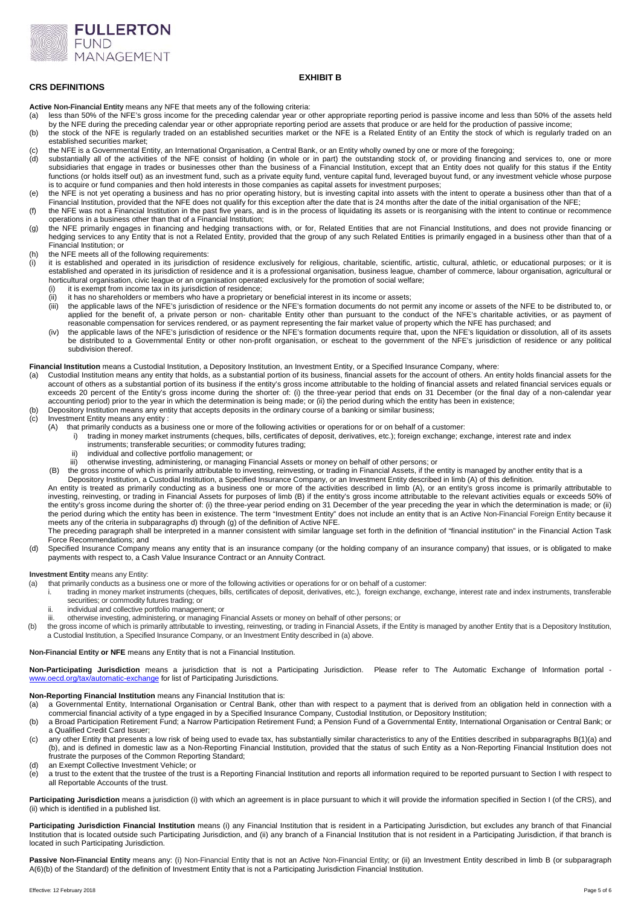

### **EXHIBIT B**

# **CRS DEFINITIONS**

**Active Non-Financial Entity** means any NFE that meets any of the following criteria:

- (a) less than 50% of the NFE's gross income for the preceding calendar year or other appropriate reporting period is passive income and less than 50% of the assets held by the NFE during the preceding calendar year or other appropriate reporting period are assets that produce or are held for the production of passive income;
- (b) the stock of the NFE is regularly traded on an established securities market or the NFE is a Related Entity of an Entity the stock of which is regularly traded on an established securities market;
- (c) the NFE is a Governmental Entity, an International Organisation, a Central Bank, or an Entity wholly owned by one or more of the foregoing;
- (d) substantially all of the activities of the NFE consist of holding (in whole or in part) the outstanding stock of, or providing financing and services to, one or more subsidiaries that engage in trades or businesses other than the business of a Financial Institution, except that an Entity does not qualify for this status if the Entity functions (or holds itself out) as an investment fund, such as a private equity fund, venture capital fund, leveraged buyout fund, or any investment vehicle whose purpose is to acquire or fund companies and then hold interests in those companies as capital assets for investment purposes;
- the NFE is not yet operating a business and has no prior operating history, but is investing capital into assets with the intent to operate a business other than that of a sets with the intent to operate a business other t Financial Institution, provided that the NFE does not qualify for this exception after the date that is 24 months after the date of the initial organisation of the NFE;
- (f) the NFE was not a Financial Institution in the past five years, and is in the process of liquidating its assets or is reorganising with the intent to continue or recommence operations in a business other than that of a Financial Institution;
- (g) the NFE primarily engages in financing and hedging transactions with, or for, Related Entities that are not Financial Institutions, and does not provide financing or hedging services to any Entity that is not a Related Entity, provided that the group of any such Related Entities is primarily engaged in a business other than that of a Financial Institution; or
- (h) the NFE meets all of the following requirements:<br>(i) it is established and operated in its jurisdiction
- it is established and operated in its jurisdiction of residence exclusively for religious, charitable, scientific, artistic, cultural, athletic, or educational purposes; or it is established and operated in its jurisdiction of residence and it is a professional organisation, business league, chamber of commerce, labour organisation, agricultural or horticultural organisation, civic league or an organisation operated exclusively for the promotion of social welfare;
	- (i) it is exempt from income tax in its jurisdiction of residence;<br>(ii) it has no shareholders or members who have a proprietary
	- it has no shareholders or members who have a proprietary or beneficial interest in its income or assets;
	- (iii) the applicable laws of the NFE's jurisdiction of residence or the NFE's formation documents do not permit any income or assets of the NFE to be distributed to, or applied for the benefit of, a private person or non- charitable Entity other than pursuant to the conduct of the NFE's charitable activities, or as payment of reasonable compensation for services rendered, or as payment representing the fair market value of property which the NFE has purchased; and
	- (iv) the applicable laws of the NFE's jurisdiction of residence or the NFE's formation documents require that, upon the NFE's liquidation or dissolution, all of its assets be distributed to a Governmental Entity or other non-profit organisation, or escheat to the government of the NFE's jurisdiction of residence or any political subdivision thereof.

### **Financial Institution** means a Custodial Institution, a Depository Institution, an Investment Entity, or a Specified Insurance Company, where:

- (a) Custodial Institution means any entity that holds, as a substantial portion of its business, financial assets for the account of others. An entity holds financial assets for the account of others as a substantial portion of its business if the entity's gross income attributable to the holding of financial assets and related financial services equals or exceeds 20 percent of the Entity's gross income during the shorter of: (i) the three-year period that ends on 31 December (or the final day of a non-calendar year accounting period) prior to the year in which the determination is being made; or (ii) the period during which the entity has been in existence;
- (b) Depository Institution means any entity that accepts deposits in the ordinary course of a banking or similar business;
- (c) Investment Entity means any entity :<br>(A) that primarily conducts as a bu
	- that primarily conducts as a business one or more of the following activities or operations for or on behalf of a customer:
		- i) trading in money market instruments (cheques, bills, certificates of deposit, derivatives, etc.); foreign exchange; exchange, interest rate and index instruments; transferable securities; or commodity futures trading;
		- ii) individual and collective portfolio management; or<br>iii) otherwise investing, administering, or managing F
		- otherwise investing, administering, or managing Financial Assets or money on behalf of other persons; or
	- (B) the gross income of which is primarily attributable to investing, reinvesting, or trading in Financial Assets, if the entity is managed by another entity that is a
		- Depository Institution, a Custodial Institution, a Specified Insurance Company, or an Investment Entity described in limb (A) of this definition.

An entity is treated as primarily conducting as a business one or more of the activities described in limb (A), or an entity's gross income is primarily attributable to investing, reinvesting, or trading in Financial Assets for purposes of limb (B) if the entity's gross income attributable to the relevant activities equals or exceeds 50% of the entity's gross income during the shorter of: (i) the three-year period ending on 31 December of the year preceding the year in which the determination is made; or (ii) the period during which the entity has been in existence. The term "Investment Entity" does not include an entity that is an Active Non-Financial Foreign Entity because it meets any of the criteria in subparagraphs d) through (g) of the definition of Active NFE.

The preceding paragraph shall be interpreted in a manner consistent with similar language set forth in the definition of "financial institution" in the Financial Action Task Force Recommendations; and

(d) Specified Insurance Company means any entity that is an insurance company (or the holding company of an insurance company) that issues, or is obligated to make payments with respect to, a Cash Value Insurance Contract or an Annuity Contract.

### **Investment Entity** means any Entity:

- (a) that primarily conducts as a business one or more of the following activities or operations for or on behalf of a customer:<br>i. trading in money market instruments (cheques, bills, certificates of deposit, derivatives,
	- i. trading in money market instruments (cheques, bills, certificates of deposit, derivatives, etc.), foreign exchange, exchange, interest rate and index instruments, transferable securities; or commodity futures trading; or
		- ii. individual and collective portfolio management; or otherwise investing administering or managing E
		- iii. otherwise investing, administering, or managing Financial Assets or money on behalf of other persons; or
- (b) the gross income of which is primarily attributable to investing, reinvesting, or trading in Financial Assets, if the Entity is managed by another Entity that is a Depository Institution, a Custodial Institution, a Specified Insurance Company, or an Investment Entity described in (a) above.

### **Non-Financial Entity or NFE** means any Entity that is not a Financial Institution.

Non-Participating Jurisdiction means a jurisdiction that is not a Participating Jurisdiction. Please refer to The Automatic Exchange of Information portal matic-exchange for list of Participating Jurisdictions.

#### **Non-Reporting Financial Institution** means any Financial Institution that is:

- (a) a Governmental Entity, International Organisation or Central Bank, other than with respect to a payment that is derived from an obligation held in connection with a commercial financial activity of a type engaged in by a Specified Insurance Company, Custodial Institution, or Depository Institution;
- (b) a Broad Participation Retirement Fund; a Narrow Participation Retirement Fund; a Pension Fund of a Governmental Entity, International Organisation or Central Bank; or a Qualified Credit Card Issuer;
- (c) any other Entity that presents a low risk of being used to evade tax, has substantially similar characteristics to any of the Entities described in subparagraphs B(1)(a) and (b), and is defined in domestic law as a Non-Reporting Financial Institution, provided that the status of such Entity as a Non-Reporting Financial Institution does not frustrate the purposes of the Common Reporting Standard;
- (d) an Exempt Collective Investment Vehicle; or
- (e) a trust to the extent that the trustee of the trust is a Reporting Financial Institution and reports all information required to be reported pursuant to Section I with respect to all Reportable Accounts of the trust.

Participating Jurisdiction means a jurisdiction (i) with which an agreement is in place pursuant to which it will provide the information specified in Section I (of the CRS), and (ii) which is identified in a published list.

Participating Jurisdiction Financial Institution means (i) any Financial Institution that is resident in a Participating Jurisdiction, but excludes any branch of that Financial Institution that is located outside such Participating Jurisdiction, and (ii) any branch of a Financial Institution that is not resident in a Participating Jurisdiction, if that branch is located in such Participating Jurisdiction.

Passive Non-Financial Entity means any: (i) Non-Financial Entity that is not an Active Non-Financial Entity; or (ii) an Investment Entity described in limb B (or subparagraph A(6)(b) of the Standard) of the definition of Investment Entity that is not a Participating Jurisdiction Financial Institution.